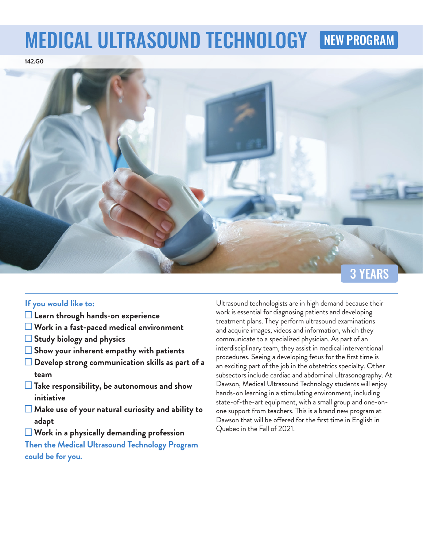# MEDICAL ULTRASOUND TECHNOLOGY NEW PROGRAM





## **If you would like to:**

- **Learn through hands-on experience**
- **Work in a fast-paced medical environment**
- **Study biology and physics**
- **Show your inherent empathy with patients**
- **Develop strong communication skills as part of a team**
- **Take responsibility, be autonomous and show initiative**
- **Make use of your natural curiosity and ability to adapt**
- **Work in a physically demanding profession**

**Then the Medical Ultrasound Technology Program could be for you.**

Ultrasound technologists are in high demand because their work is essential for diagnosing patients and developing treatment plans. They perform ultrasound examinations and acquire images, videos and information, which they communicate to a specialized physician. As part of an interdisciplinary team, they assist in medical interventional procedures. Seeing a developing fetus for the first time is an exciting part of the job in the obstetrics specialty. Other subsectors include cardiac and abdominal ultrasonography. At Dawson, Medical Ultrasound Technology students will enjoy hands-on learning in a stimulating environment, including state-of-the-art equipment, with a small group and one-onone support from teachers. This is a brand new program at Dawson that will be offered for the first time in English in Quebec in the Fall of 2021.